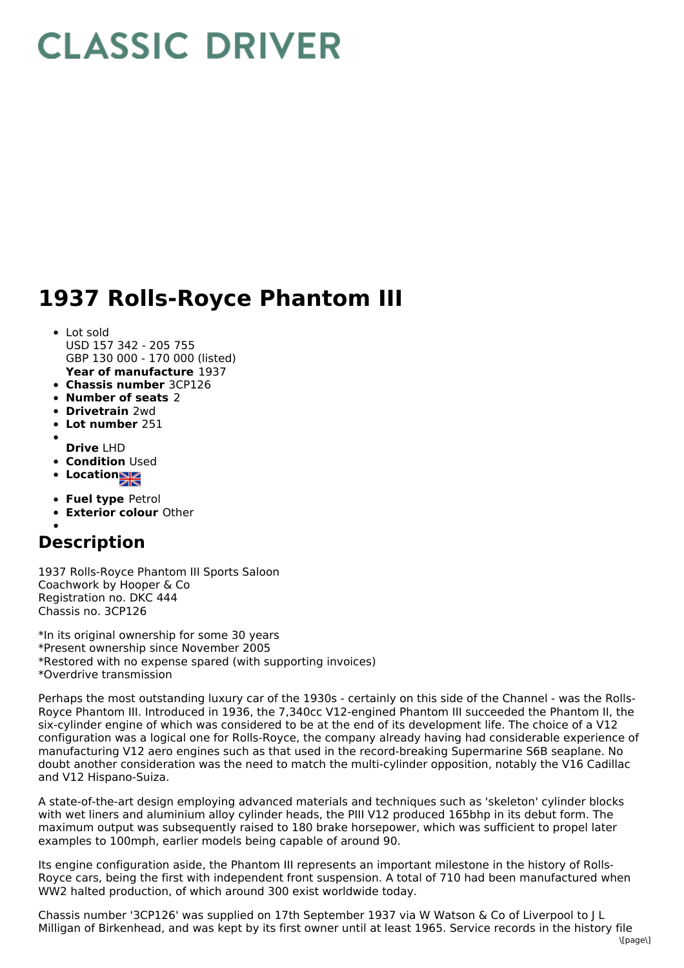## **CLASSIC DRIVER**

## **1937 Rolls-Royce Phantom III**

- **Year of manufacture** 1937 • Lot sold USD 157 342 - 205 755 GBP 130 000 - 170 000 (listed)
- **Chassis number** 3CP126
- **Number of seats** 2
- **Drivetrain** 2wd
- **Lot number** 251
- **Drive** LHD
- **Condition** Used
- **Location**
- 
- **Fuel type** Petrol
- **Exterior colour** Other

## **Description**

1937 Rolls-Royce Phantom III Sports Saloon Coachwork by Hooper & Co Registration no. DKC 444 Chassis no. 3CP126

\*In its original ownership for some 30 years \*Present ownership since November 2005 \*Restored with no expense spared (with supporting invoices) \*Overdrive transmission

Perhaps the most outstanding luxury car of the 1930s - certainly on this side of the Channel - was the Rolls-Royce Phantom III. Introduced in 1936, the 7,340cc V12-engined Phantom III succeeded the Phantom II, the six-cylinder engine of which was considered to be at the end of its development life. The choice of a V12 configuration was a logical one for Rolls-Royce, the company already having had considerable experience of manufacturing V12 aero engines such as that used in the record-breaking Supermarine S6B seaplane. No doubt another consideration was the need to match the multi-cylinder opposition, notably the V16 Cadillac and V12 Hispano-Suiza.

A state-of-the-art design employing advanced materials and techniques such as 'skeleton' cylinder blocks with wet liners and aluminium alloy cylinder heads, the PIII V12 produced 165bhp in its debut form. The maximum output was subsequently raised to 180 brake horsepower, which was sufficient to propel later examples to 100mph, earlier models being capable of around 90.

Its engine configuration aside, the Phantom III represents an important milestone in the history of Rolls-Royce cars, being the first with independent front suspension. A total of 710 had been manufactured when WW2 halted production, of which around 300 exist worldwide today.

Chassis number '3CP126' was supplied on 17th September 1937 via W Watson & Co of Liverpool to J L Milligan of Birkenhead, and was kept by its first owner until at least 1965. Service records in the history file  $\text{I}$ ane $\text{I}$